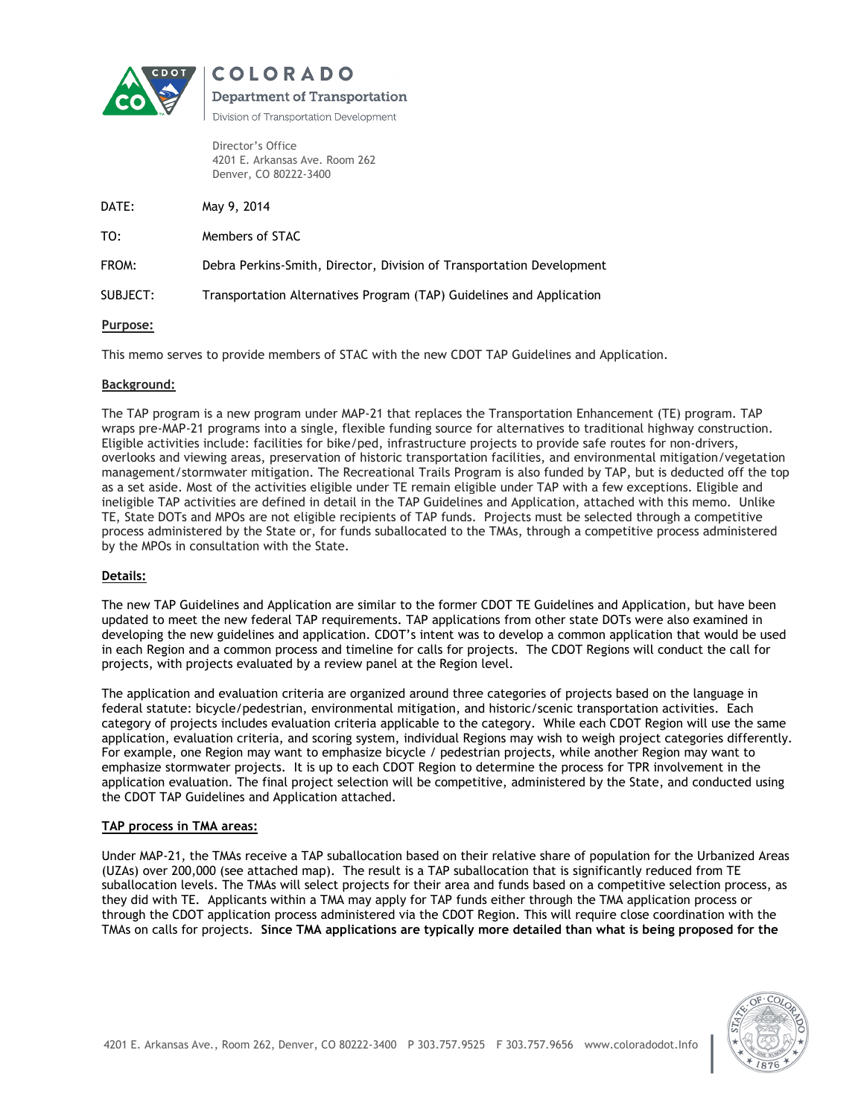

**COLORADO** 

**Department of Transportation** Division of Transportation Development

Director's Office 4201 E. Arkansas Ave. Room 262 Denver, CO 80222-3400

DATE: May 9, 2014

TO: Members of STAC

FROM: Debra Perkins-Smith, Director, Division of Transportation Development

SUBJECT: Transportation Alternatives Program (TAP) Guidelines and Application

# Purpose:

This memo serves to provide members of STAC with the new CDOT TAP Guidelines and Application.

# Background:

The TAP program is a new program under MAP-21 that replaces the Transportation Enhancement (TE) program. TAP wraps pre-MAP-21 programs into a single, flexible funding source for alternatives to traditional highway construction. Eligible activities include: facilities for bike/ped, infrastructure projects to provide safe routes for non-drivers, overlooks and viewing areas, preservation of historic transportation facilities, and environmental mitigation/vegetation management/stormwater mitigation. The Recreational Trails Program is also funded by TAP, but is deducted off the top as a set aside. Most of the activities eligible under TE remain eligible under TAP with a few exceptions. Eligible and ineligible TAP activities are defined in detail in the TAP Guidelines and Application, attached with this memo. Unlike TE, State DOTs and MPOs are not eligible recipients of TAP funds. Projects must be selected through a competitive process administered by the State or, for funds suballocated to the TMAs, through a competitive process administered by the MPOs in consultation with the State.

# Details:

The new TAP Guidelines and Application are similar to the former CDOT TE Guidelines and Application, but have been updated to meet the new federal TAP requirements. TAP applications from other state DOTs were also examined in developing the new guidelines and application. CDOT's intent was to develop a common application that would be used in each Region and a common process and timeline for calls for projects. The CDOT Regions will conduct the call for projects, with projects evaluated by a review panel at the Region level.

The application and evaluation criteria are organized around three categories of projects based on the language in federal statute: bicycle/pedestrian, environmental mitigation, and historic/scenic transportation activities. Each category of projects includes evaluation criteria applicable to the category. While each CDOT Region will use the same application, evaluation criteria, and scoring system, individual Regions may wish to weigh project categories differently. For example, one Region may want to emphasize bicycle / pedestrian projects, while another Region may want to emphasize stormwater projects. It is up to each CDOT Region to determine the process for TPR involvement in the application evaluation. The final project selection will be competitive, administered by the State, and conducted using the CDOT TAP Guidelines and Application attached.

### TAP process in TMA areas:

Under MAP-21, the TMAs receive a TAP suballocation based on their relative share of population for the Urbanized Areas (UZAs) over 200,000 (see attached map). The result is a TAP suballocation that is significantly reduced from TE suballocation levels. The TMAs will select projects for their area and funds based on a competitive selection process, as they did with TE. Applicants within a TMA may apply for TAP funds either through the TMA application process or through the CDOT application process administered via the CDOT Region. This will require close coordination with the TMAs on calls for projects. Since TMA applications are typically more detailed than what is being proposed for the